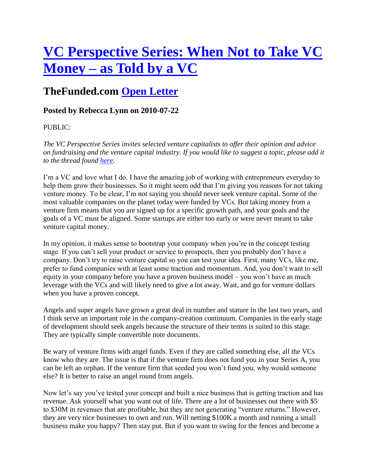## **VC Perspective Series: When Not to Take VC Money – as Told by a VC**

## **TheFunded.com Open Letter**

## **Posted by Rebecca Lynn on 2010-07-22**

## PUBLIC:

*The VC Perspective Series invites selected venture capitalists to offer their opinion and advice on fundraising and the venture capital industry. If you would like to suggest a topic, please add it to the thread found here.* 

I'm a VC and love what I do. I have the amazing job of working with entrepreneurs everyday to help them grow their businesses. So it might seem odd that I'm giving you reasons for not taking venture money. To be clear, I'm not saying you should never seek venture capital. Some of the most valuable companies on the planet today were funded by VCs. But taking money from a venture firm means that you are signed up for a specific growth path, and your goals and the goals of a VC must be aligned. Some startups are either too early or were never meant to take venture capital money.

In my opinion, it makes sense to bootstrap your company when you're in the concept testing stage. If you can't sell your product or service to prospects, then you probably don't have a company. Don't try to raise venture capital so you can test your idea. First, many VCs, like me, prefer to fund companies with at least some traction and momentum. And, you don't want to sell equity in your company before you have a proven business model – you won't have as much leverage with the VCs and will likely need to give a lot away. Wait, and go for venture dollars when you have a proven concept.

Angels and super angels have grown a great deal in number and stature in the last two years, and I think serve an important role in the company-creation continuum. Companies in the early stage of development should seek angels because the structure of their terms is suited to this stage. They are typically simple convertible note documents.

Be wary of venture firms with angel funds. Even if they are called something else, all the VCs know who they are. The issue is that if the venture firm does not fund you in your Series A, you can be left an orphan. If the venture firm that seeded you won't fund you, why would someone else? It is better to raise an angel round from angels.

Now let's say you've tested your concept and built a nice business that is getting traction and has revenue. Ask yourself what you want out of life. There are a lot of businesses out there with \$5 to \$30M in revenues that are profitable, but they are not generating "venture returns." However, they are very nice businesses to own and run. Will netting \$100K a month and running a small business make you happy? Then stay put. But if you want to swing for the fences and become a